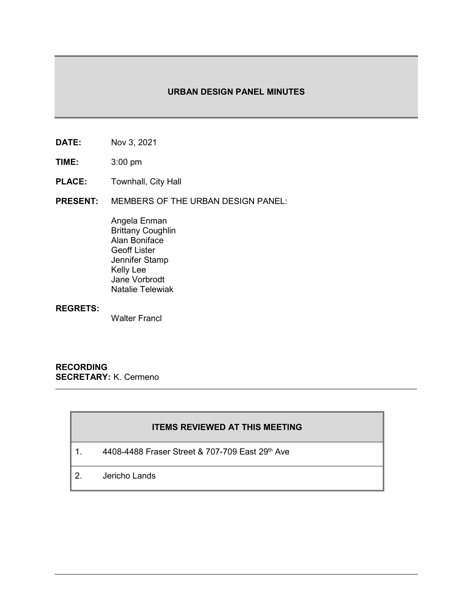## **URBAN DESIGN PANEL MINUTES**

- **DATE:** Nov 3, 2021
- **TIME:** 3:00 pm
- **PLACE:** Townhall, City Hall
- **PRESENT:** MEMBERS OF THE URBAN DESIGN PANEL:

Angela Enman Brittany Coughlin Alan Boniface Geoff Lister Jennifer Stamp Kelly Lee Jane Vorbrodt Natalie Telewiak

#### **REGRETS:**

Walter Francl

**RECORDING SECRETARY:** K. Cermeno

# **ITEMS REVIEWED AT THIS MEETING**

- 1. 4408-4488 Fraser Street & 707-709 East 29<sup>th</sup> Ave
- 2. Jericho Lands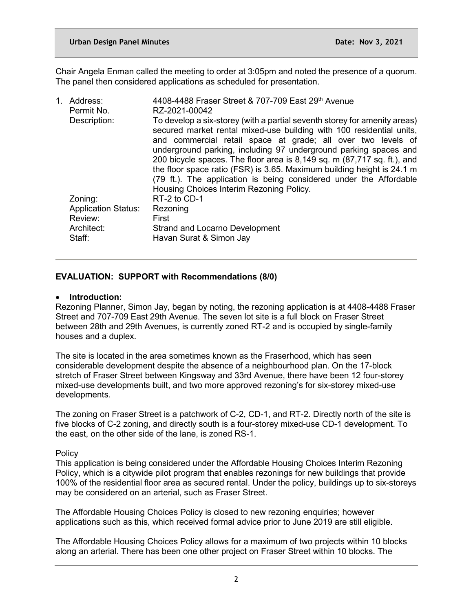Chair Angela Enman called the meeting to order at 3:05pm and noted the presence of a quorum. The panel then considered applications as scheduled for presentation.

| 1. Address:                | 4408-4488 Fraser Street & 707-709 East 29th Avenue                                                                                                                                                                                                                                                                                                                                                                                                                                                                                                           |
|----------------------------|--------------------------------------------------------------------------------------------------------------------------------------------------------------------------------------------------------------------------------------------------------------------------------------------------------------------------------------------------------------------------------------------------------------------------------------------------------------------------------------------------------------------------------------------------------------|
| Permit No.                 | RZ-2021-00042                                                                                                                                                                                                                                                                                                                                                                                                                                                                                                                                                |
| Description:               | To develop a six-storey (with a partial seventh storey for amenity areas)<br>secured market rental mixed-use building with 100 residential units,<br>and commercial retail space at grade; all over two levels of<br>underground parking, including 97 underground parking spaces and<br>200 bicycle spaces. The floor area is 8,149 sq. m (87,717 sq. ft.), and<br>the floor space ratio (FSR) is 3.65. Maximum building height is 24.1 m<br>(79 ft.). The application is being considered under the Affordable<br>Housing Choices Interim Rezoning Policy. |
| Zoning:                    | RT-2 to CD-1                                                                                                                                                                                                                                                                                                                                                                                                                                                                                                                                                 |
| <b>Application Status:</b> | Rezoning                                                                                                                                                                                                                                                                                                                                                                                                                                                                                                                                                     |
| Review:                    | First                                                                                                                                                                                                                                                                                                                                                                                                                                                                                                                                                        |
| Architect:                 | <b>Strand and Locarno Development</b>                                                                                                                                                                                                                                                                                                                                                                                                                                                                                                                        |
| Staff:                     | Havan Surat & Simon Jay                                                                                                                                                                                                                                                                                                                                                                                                                                                                                                                                      |

## **EVALUATION: SUPPORT with Recommendations (8/0)**

#### • **Introduction:**

Rezoning Planner, Simon Jay, began by noting, the rezoning application is at 4408-4488 Fraser Street and 707-709 East 29th Avenue. The seven lot site is a full block on Fraser Street between 28th and 29th Avenues, is currently zoned RT-2 and is occupied by single-family houses and a duplex.

The site is located in the area sometimes known as the Fraserhood, which has seen considerable development despite the absence of a neighbourhood plan. On the 17-block stretch of Fraser Street between Kingsway and 33rd Avenue, there have been 12 four-storey mixed-use developments built, and two more approved rezoning's for six-storey mixed-use developments.

The zoning on Fraser Street is a patchwork of C-2, CD-1, and RT-2. Directly north of the site is five blocks of C-2 zoning, and directly south is a four-storey mixed-use CD-1 development. To the east, on the other side of the lane, is zoned RS-1.

### **Policy**

This application is being considered under the Affordable Housing Choices Interim Rezoning Policy, which is a citywide pilot program that enables rezonings for new buildings that provide 100% of the residential floor area as secured rental. Under the policy, buildings up to six-storeys may be considered on an arterial, such as Fraser Street.

The Affordable Housing Choices Policy is closed to new rezoning enquiries; however applications such as this, which received formal advice prior to June 2019 are still eligible.

The Affordable Housing Choices Policy allows for a maximum of two projects within 10 blocks along an arterial. There has been one other project on Fraser Street within 10 blocks. The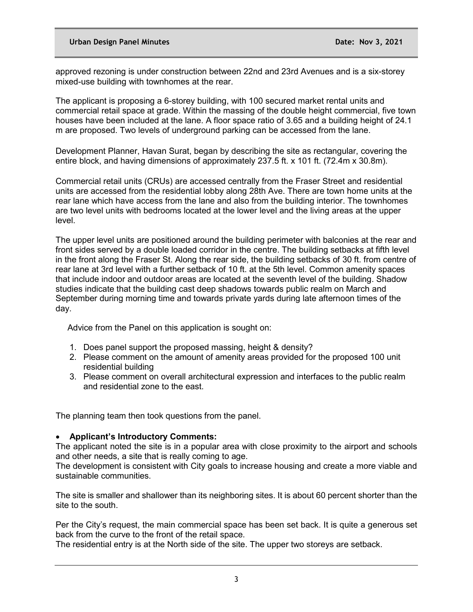approved rezoning is under construction between 22nd and 23rd Avenues and is a six-storey mixed-use building with townhomes at the rear.

The applicant is proposing a 6-storey building, with 100 secured market rental units and commercial retail space at grade. Within the massing of the double height commercial, five town houses have been included at the lane. A floor space ratio of 3.65 and a building height of 24.1 m are proposed. Two levels of underground parking can be accessed from the lane.

Development Planner, Havan Surat, began by describing the site as rectangular, covering the entire block, and having dimensions of approximately 237.5 ft. x 101 ft. (72.4m x 30.8m).

Commercial retail units (CRUs) are accessed centrally from the Fraser Street and residential units are accessed from the residential lobby along 28th Ave. There are town home units at the rear lane which have access from the lane and also from the building interior. The townhomes are two level units with bedrooms located at the lower level and the living areas at the upper level.

The upper level units are positioned around the building perimeter with balconies at the rear and front sides served by a double loaded corridor in the centre. The building setbacks at fifth level in the front along the Fraser St. Along the rear side, the building setbacks of 30 ft. from centre of rear lane at 3rd level with a further setback of 10 ft. at the 5th level. Common amenity spaces that include indoor and outdoor areas are located at the seventh level of the building. Shadow studies indicate that the building cast deep shadows towards public realm on March and September during morning time and towards private yards during late afternoon times of the day.

Advice from the Panel on this application is sought on:

- 1. Does panel support the proposed massing, height & density?
- 2. Please comment on the amount of amenity areas provided for the proposed 100 unit residential building
- 3. Please comment on overall architectural expression and interfaces to the public realm and residential zone to the east.

The planning team then took questions from the panel.

## • **Applicant's Introductory Comments:**

The applicant noted the site is in a popular area with close proximity to the airport and schools and other needs, a site that is really coming to age.

The development is consistent with City goals to increase housing and create a more viable and sustainable communities.

The site is smaller and shallower than its neighboring sites. It is about 60 percent shorter than the site to the south.

Per the City's request, the main commercial space has been set back. It is quite a generous set back from the curve to the front of the retail space.

The residential entry is at the North side of the site. The upper two storeys are setback.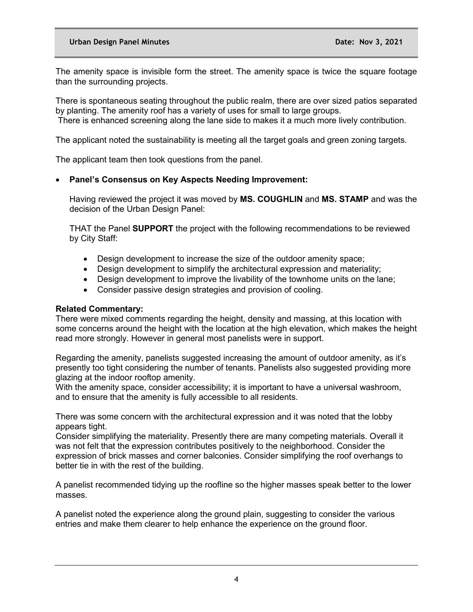The amenity space is invisible form the street. The amenity space is twice the square footage than the surrounding projects.

There is spontaneous seating throughout the public realm, there are over sized patios separated by planting. The amenity roof has a variety of uses for small to large groups.

There is enhanced screening along the lane side to makes it a much more lively contribution.

The applicant noted the sustainability is meeting all the target goals and green zoning targets.

The applicant team then took questions from the panel.

# • **Panel's Consensus on Key Aspects Needing Improvement:**

Having reviewed the project it was moved by **MS. COUGHLIN** and **MS. STAMP** and was the decision of the Urban Design Panel:

THAT the Panel **SUPPORT** the project with the following recommendations to be reviewed by City Staff:

- Design development to increase the size of the outdoor amenity space;
- Design development to simplify the architectural expression and materiality;
- Design development to improve the livability of the townhome units on the lane;
- Consider passive design strategies and provision of cooling.

## **Related Commentary:**

There were mixed comments regarding the height, density and massing, at this location with some concerns around the height with the location at the high elevation, which makes the height read more strongly. However in general most panelists were in support.

Regarding the amenity, panelists suggested increasing the amount of outdoor amenity, as it's presently too tight considering the number of tenants. Panelists also suggested providing more glazing at the indoor rooftop amenity.

With the amenity space, consider accessibility; it is important to have a universal washroom, and to ensure that the amenity is fully accessible to all residents.

There was some concern with the architectural expression and it was noted that the lobby appears tight.

Consider simplifying the materiality. Presently there are many competing materials. Overall it was not felt that the expression contributes positively to the neighborhood. Consider the expression of brick masses and corner balconies. Consider simplifying the roof overhangs to better tie in with the rest of the building.

A panelist recommended tidying up the roofline so the higher masses speak better to the lower masses.

A panelist noted the experience along the ground plain, suggesting to consider the various entries and make them clearer to help enhance the experience on the ground floor.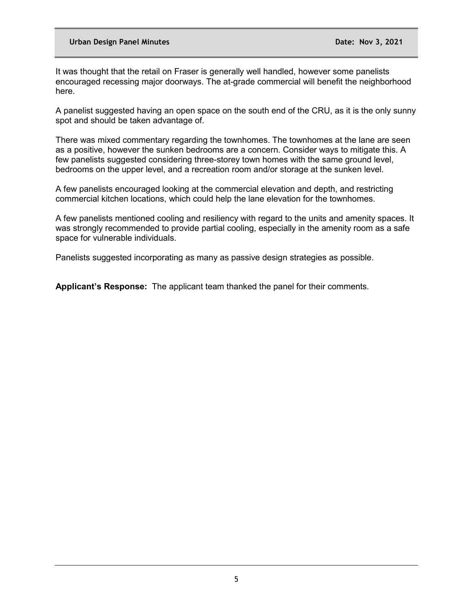It was thought that the retail on Fraser is generally well handled, however some panelists encouraged recessing major doorways. The at-grade commercial will benefit the neighborhood here.

A panelist suggested having an open space on the south end of the CRU, as it is the only sunny spot and should be taken advantage of.

There was mixed commentary regarding the townhomes. The townhomes at the lane are seen as a positive, however the sunken bedrooms are a concern. Consider ways to mitigate this. A few panelists suggested considering three-storey town homes with the same ground level, bedrooms on the upper level, and a recreation room and/or storage at the sunken level.

A few panelists encouraged looking at the commercial elevation and depth, and restricting commercial kitchen locations, which could help the lane elevation for the townhomes.

A few panelists mentioned cooling and resiliency with regard to the units and amenity spaces. It was strongly recommended to provide partial cooling, especially in the amenity room as a safe space for vulnerable individuals.

Panelists suggested incorporating as many as passive design strategies as possible.

**Applicant's Response:** The applicant team thanked the panel for their comments.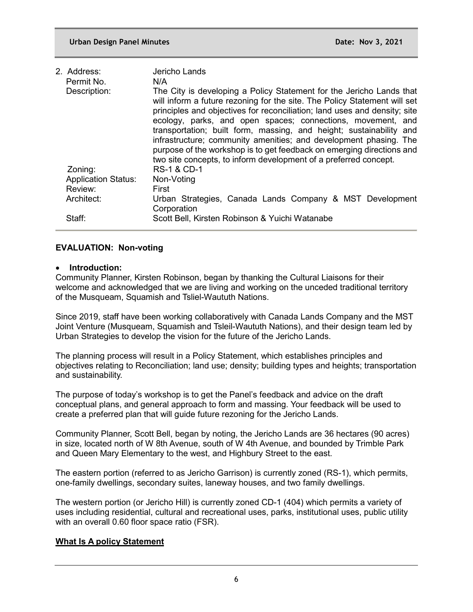| 2. Address:                | Jericho Lands                                                                                                                                                                                                                                                                                                                                                                                                                                                                                                                                                                                 |
|----------------------------|-----------------------------------------------------------------------------------------------------------------------------------------------------------------------------------------------------------------------------------------------------------------------------------------------------------------------------------------------------------------------------------------------------------------------------------------------------------------------------------------------------------------------------------------------------------------------------------------------|
| Permit No.<br>Description: | N/A<br>The City is developing a Policy Statement for the Jericho Lands that<br>will inform a future rezoning for the site. The Policy Statement will set<br>principles and objectives for reconciliation; land uses and density; site<br>ecology, parks, and open spaces; connections, movement, and<br>transportation; built form, massing, and height; sustainability and<br>infrastructure; community amenities; and development phasing. The<br>purpose of the workshop is to get feedback on emerging directions and<br>two site concepts, to inform development of a preferred concept. |
| Zoning:                    | <b>RS-1 &amp; CD-1</b>                                                                                                                                                                                                                                                                                                                                                                                                                                                                                                                                                                        |
| <b>Application Status:</b> | Non-Voting                                                                                                                                                                                                                                                                                                                                                                                                                                                                                                                                                                                    |
| Review:                    | First                                                                                                                                                                                                                                                                                                                                                                                                                                                                                                                                                                                         |
| Architect:                 | Urban Strategies, Canada Lands Company & MST Development<br>Corporation                                                                                                                                                                                                                                                                                                                                                                                                                                                                                                                       |
| Staff:                     | Scott Bell, Kirsten Robinson & Yuichi Watanabe                                                                                                                                                                                                                                                                                                                                                                                                                                                                                                                                                |

# **EVALUATION: Non-voting**

### • **Introduction:**

Community Planner, Kirsten Robinson, began by thanking the Cultural Liaisons for their welcome and acknowledged that we are living and working on the unceded traditional territory of the Musqueam, Squamish and Tsliel-Waututh Nations.

Since 2019, staff have been working collaboratively with Canada Lands Company and the MST Joint Venture (Musqueam, Squamish and Tsleil-Waututh Nations), and their design team led by Urban Strategies to develop the vision for the future of the Jericho Lands.

The planning process will result in a Policy Statement, which establishes principles and objectives relating to Reconciliation; land use; density; building types and heights; transportation and sustainability.

The purpose of today's workshop is to get the Panel's feedback and advice on the draft conceptual plans, and general approach to form and massing. Your feedback will be used to create a preferred plan that will guide future rezoning for the Jericho Lands.

Community Planner, Scott Bell, began by noting, the Jericho Lands are 36 hectares (90 acres) in size, located north of W 8th Avenue, south of W 4th Avenue, and bounded by Trimble Park and Queen Mary Elementary to the west, and Highbury Street to the east.

The eastern portion (referred to as Jericho Garrison) is currently zoned (RS-1), which permits, one-family dwellings, secondary suites, laneway houses, and two family dwellings.

The western portion (or Jericho Hill) is currently zoned CD-1 (404) which permits a variety of uses including residential, cultural and recreational uses, parks, institutional uses, public utility with an overall 0.60 floor space ratio (FSR).

## **What Is A policy Statement**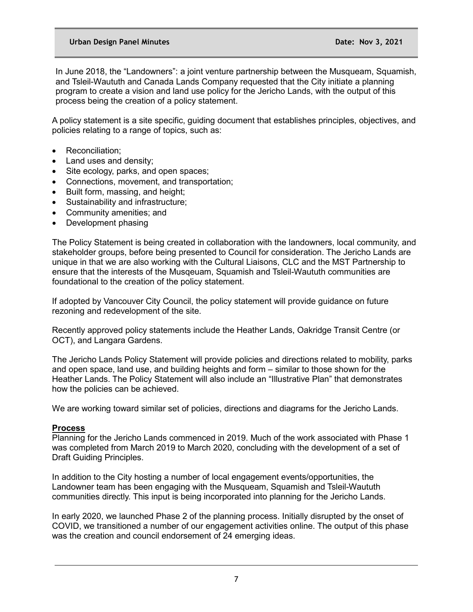In June 2018, the "Landowners": a joint venture partnership between the Musqueam, Squamish, and Tsleil-Waututh and Canada Lands Company requested that the City initiate a planning program to create a vision and land use policy for the Jericho Lands, with the output of this process being the creation of a policy statement.

A policy statement is a site specific, guiding document that establishes principles, objectives, and policies relating to a range of topics, such as:

- Reconciliation:
- Land uses and density;
- Site ecology, parks, and open spaces;
- Connections, movement, and transportation;
- Built form, massing, and height;
- Sustainability and infrastructure;
- Community amenities; and
- Development phasing

The Policy Statement is being created in collaboration with the landowners, local community, and stakeholder groups, before being presented to Council for consideration. The Jericho Lands are unique in that we are also working with the Cultural Liaisons, CLC and the MST Partnership to ensure that the interests of the Musqeuam, Squamish and Tsleil-Waututh communities are foundational to the creation of the policy statement.

If adopted by Vancouver City Council, the policy statement will provide guidance on future rezoning and redevelopment of the site.

Recently approved policy statements include the Heather Lands, Oakridge Transit Centre (or OCT), and Langara Gardens.

The Jericho Lands Policy Statement will provide policies and directions related to mobility, parks and open space, land use, and building heights and form – similar to those shown for the Heather Lands. The Policy Statement will also include an "Illustrative Plan" that demonstrates how the policies can be achieved.

We are working toward similar set of policies, directions and diagrams for the Jericho Lands.

### **Process**

Planning for the Jericho Lands commenced in 2019. Much of the work associated with Phase 1 was completed from March 2019 to March 2020, concluding with the development of a set of Draft Guiding Principles.

In addition to the City hosting a number of local engagement events/opportunities, the Landowner team has been engaging with the Musqueam, Squamish and Tsleil-Waututh communities directly. This input is being incorporated into planning for the Jericho Lands.

In early 2020, we launched Phase 2 of the planning process. Initially disrupted by the onset of COVID, we transitioned a number of our engagement activities online. The output of this phase was the creation and council endorsement of 24 emerging ideas.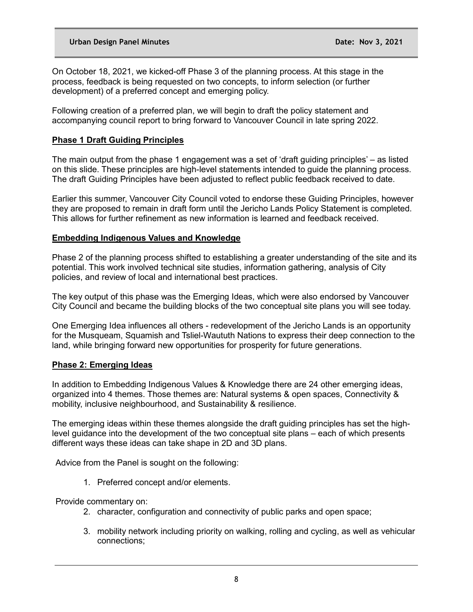On October 18, 2021, we kicked-off Phase 3 of the planning process. At this stage in the process, feedback is being requested on two concepts, to inform selection (or further development) of a preferred concept and emerging policy.

Following creation of a preferred plan, we will begin to draft the policy statement and accompanying council report to bring forward to Vancouver Council in late spring 2022.

## **Phase 1 Draft Guiding Principles**

The main output from the phase 1 engagement was a set of 'draft guiding principles' – as listed on this slide. These principles are high-level statements intended to guide the planning process. The draft Guiding Principles have been adjusted to reflect public feedback received to date.

Earlier this summer, Vancouver City Council voted to endorse these Guiding Principles, however they are proposed to remain in draft form until the Jericho Lands Policy Statement is completed. This allows for further refinement as new information is learned and feedback received.

## **Embedding Indigenous Values and Knowledge**

Phase 2 of the planning process shifted to establishing a greater understanding of the site and its potential. This work involved technical site studies, information gathering, analysis of City policies, and review of local and international best practices.

The key output of this phase was the Emerging Ideas, which were also endorsed by Vancouver City Council and became the building blocks of the two conceptual site plans you will see today.

One Emerging Idea influences all others - redevelopment of the Jericho Lands is an opportunity for the Musqueam, Squamish and Tsliel-Waututh Nations to express their deep connection to the land, while bringing forward new opportunities for prosperity for future generations.

## **Phase 2: Emerging Ideas**

In addition to Embedding Indigenous Values & Knowledge there are 24 other emerging ideas, organized into 4 themes. Those themes are: Natural systems & open spaces, Connectivity & mobility, inclusive neighbourhood, and Sustainability & resilience.

The emerging ideas within these themes alongside the draft guiding principles has set the highlevel guidance into the development of the two conceptual site plans – each of which presents different ways these ideas can take shape in 2D and 3D plans.

Advice from the Panel is sought on the following:

1. Preferred concept and/or elements.

Provide commentary on:

- 2. character, configuration and connectivity of public parks and open space;
- 3. mobility network including priority on walking, rolling and cycling, as well as vehicular connections;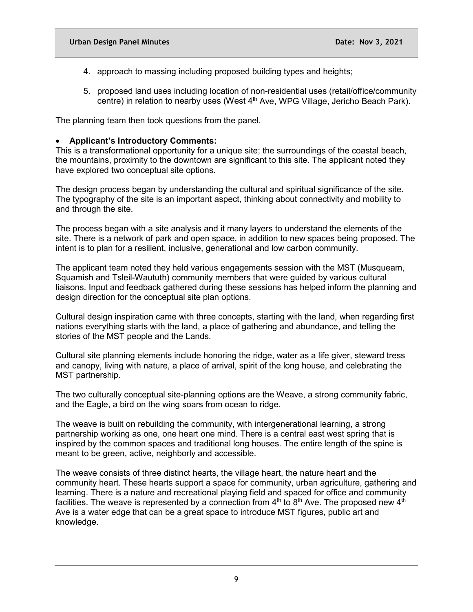- 4. approach to massing including proposed building types and heights;
- 5. proposed land uses including location of non-residential uses (retail/office/community centre) in relation to nearby uses (West 4<sup>th</sup> Ave, WPG Village, Jericho Beach Park).

The planning team then took questions from the panel.

#### • **Applicant's Introductory Comments:**

This is a transformational opportunity for a unique site; the surroundings of the coastal beach, the mountains, proximity to the downtown are significant to this site. The applicant noted they have explored two conceptual site options.

The design process began by understanding the cultural and spiritual significance of the site. The typography of the site is an important aspect, thinking about connectivity and mobility to and through the site.

The process began with a site analysis and it many layers to understand the elements of the site. There is a network of park and open space, in addition to new spaces being proposed. The intent is to plan for a resilient, inclusive, generational and low carbon community.

The applicant team noted they held various engagements session with the MST (Musqueam, Squamish and Tsleil-Waututh) community members that were guided by various cultural liaisons. Input and feedback gathered during these sessions has helped inform the planning and design direction for the conceptual site plan options.

Cultural design inspiration came with three concepts, starting with the land, when regarding first nations everything starts with the land, a place of gathering and abundance, and telling the stories of the MST people and the Lands.

Cultural site planning elements include honoring the ridge, water as a life giver, steward tress and canopy, living with nature, a place of arrival, spirit of the long house, and celebrating the MST partnership.

The two culturally conceptual site-planning options are the Weave, a strong community fabric, and the Eagle, a bird on the wing soars from ocean to ridge.

The weave is built on rebuilding the community, with intergenerational learning, a strong partnership working as one, one heart one mind. There is a central east west spring that is inspired by the common spaces and traditional long houses. The entire length of the spine is meant to be green, active, neighborly and accessible.

The weave consists of three distinct hearts, the village heart, the nature heart and the community heart. These hearts support a space for community, urban agriculture, gathering and learning. There is a nature and recreational playing field and spaced for office and community facilities. The weave is represented by a connection from  $4<sup>th</sup>$  to  $8<sup>th</sup>$  Ave. The proposed new  $4<sup>th</sup>$ Ave is a water edge that can be a great space to introduce MST figures, public art and knowledge.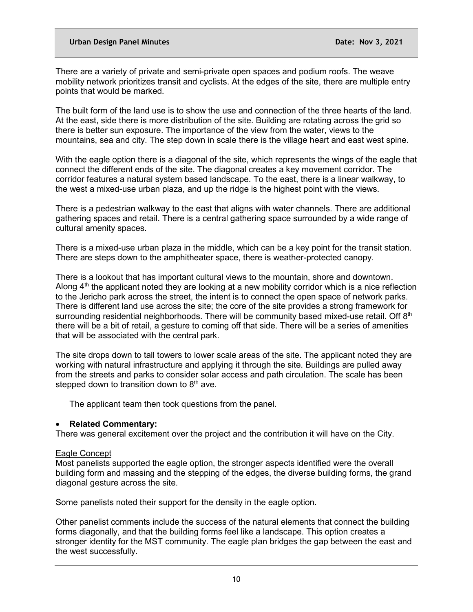There are a variety of private and semi-private open spaces and podium roofs. The weave mobility network prioritizes transit and cyclists. At the edges of the site, there are multiple entry points that would be marked.

The built form of the land use is to show the use and connection of the three hearts of the land. At the east, side there is more distribution of the site. Building are rotating across the grid so there is better sun exposure. The importance of the view from the water, views to the mountains, sea and city. The step down in scale there is the village heart and east west spine.

With the eagle option there is a diagonal of the site, which represents the wings of the eagle that connect the different ends of the site. The diagonal creates a key movement corridor. The corridor features a natural system based landscape. To the east, there is a linear walkway, to the west a mixed-use urban plaza, and up the ridge is the highest point with the views.

There is a pedestrian walkway to the east that aligns with water channels. There are additional gathering spaces and retail. There is a central gathering space surrounded by a wide range of cultural amenity spaces.

There is a mixed-use urban plaza in the middle, which can be a key point for the transit station. There are steps down to the amphitheater space, there is weather-protected canopy.

There is a lookout that has important cultural views to the mountain, shore and downtown. Along  $4<sup>th</sup>$  the applicant noted they are looking at a new mobility corridor which is a nice reflection to the Jericho park across the street, the intent is to connect the open space of network parks. There is different land use across the site; the core of the site provides a strong framework for surrounding residential neighborhoods. There will be community based mixed-use retail. Off 8<sup>th</sup> there will be a bit of retail, a gesture to coming off that side. There will be a series of amenities that will be associated with the central park.

The site drops down to tall towers to lower scale areas of the site. The applicant noted they are working with natural infrastructure and applying it through the site. Buildings are pulled away from the streets and parks to consider solar access and path circulation. The scale has been stepped down to transition down to  $8<sup>th</sup>$  ave.

The applicant team then took questions from the panel.

## • **Related Commentary:**

There was general excitement over the project and the contribution it will have on the City.

### Eagle Concept

Most panelists supported the eagle option, the stronger aspects identified were the overall building form and massing and the stepping of the edges, the diverse building forms, the grand diagonal gesture across the site.

Some panelists noted their support for the density in the eagle option.

Other panelist comments include the success of the natural elements that connect the building forms diagonally, and that the building forms feel like a landscape. This option creates a stronger identity for the MST community. The eagle plan bridges the gap between the east and the west successfully.